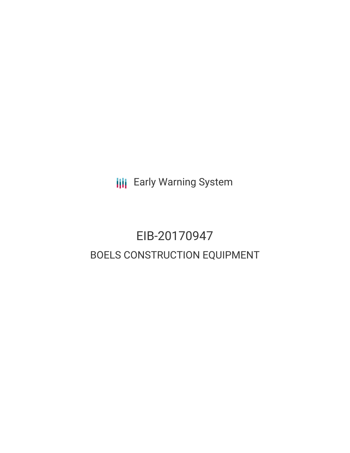**III** Early Warning System

## EIB-20170947 BOELS CONSTRUCTION EQUIPMENT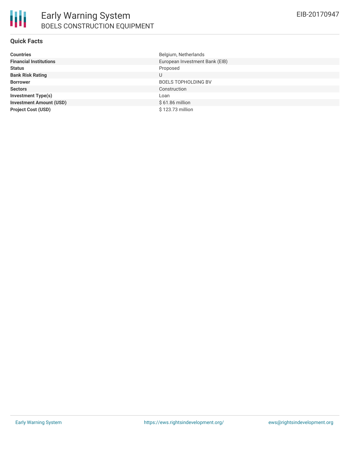#### **Quick Facts**

| <b>Countries</b>               | Belgium, Netherlands           |
|--------------------------------|--------------------------------|
| <b>Financial Institutions</b>  | European Investment Bank (EIB) |
| <b>Status</b>                  | Proposed                       |
| <b>Bank Risk Rating</b>        | U                              |
| <b>Borrower</b>                | <b>BOELS TOPHOLDING BV</b>     |
| <b>Sectors</b>                 | Construction                   |
| <b>Investment Type(s)</b>      | Loan                           |
| <b>Investment Amount (USD)</b> | $$61.86$ million               |
| <b>Project Cost (USD)</b>      | \$123.73 million               |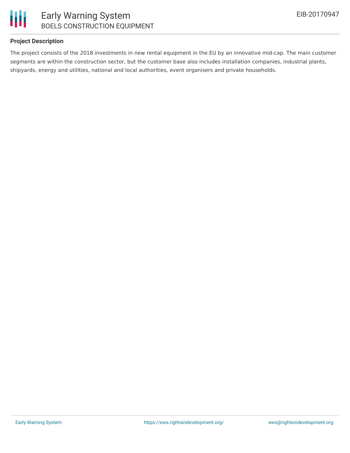



## **Project Description**

The project consists of the 2018 investments in new rental equipment in the EU by an innovative mid-cap. The main customer segments are within the construction sector, but the customer base also includes installation companies, industrial plants, shipyards, energy and utilities, national and local authorities, event organisers and private households.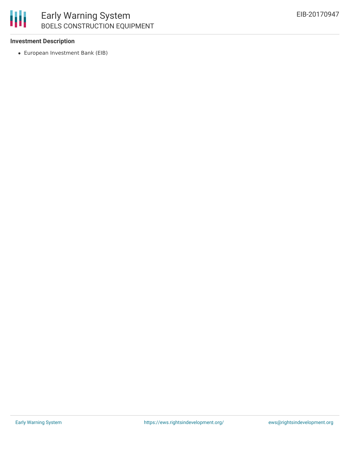

## Early Warning System BOELS CONSTRUCTION EQUIPMENT

## **Investment Description**

European Investment Bank (EIB)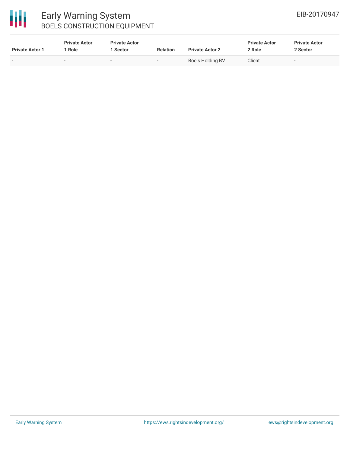# 冊

## Early Warning System BOELS CONSTRUCTION EQUIPMENT

| <b>Private Actor 1</b>   | <b>Private Actor</b><br>Role | <b>Private Actor</b><br>  Sector | <b>Relation</b>          | <b>Private Actor 2</b> | <b>Private Actor</b><br>2 Role | <b>Private Actor</b><br>2 Sector |
|--------------------------|------------------------------|----------------------------------|--------------------------|------------------------|--------------------------------|----------------------------------|
| $\overline{\phantom{0}}$ |                              |                                  | $\overline{\phantom{0}}$ | Boels Holding BV       | Client                         |                                  |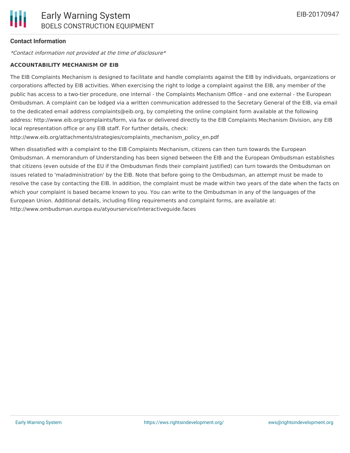## **Contact Information**

\*Contact information not provided at the time of disclosure\*

#### **ACCOUNTABILITY MECHANISM OF EIB**

The EIB Complaints Mechanism is designed to facilitate and handle complaints against the EIB by individuals, organizations or corporations affected by EIB activities. When exercising the right to lodge a complaint against the EIB, any member of the public has access to a two-tier procedure, one internal - the Complaints Mechanism Office - and one external - the European Ombudsman. A complaint can be lodged via a written communication addressed to the Secretary General of the EIB, via email to the dedicated email address complaints@eib.org, by completing the online complaint form available at the following address: http://www.eib.org/complaints/form, via fax or delivered directly to the EIB Complaints Mechanism Division, any EIB local representation office or any EIB staff. For further details, check:

http://www.eib.org/attachments/strategies/complaints\_mechanism\_policy\_en.pdf

When dissatisfied with a complaint to the EIB Complaints Mechanism, citizens can then turn towards the European Ombudsman. A memorandum of Understanding has been signed between the EIB and the European Ombudsman establishes that citizens (even outside of the EU if the Ombudsman finds their complaint justified) can turn towards the Ombudsman on issues related to 'maladministration' by the EIB. Note that before going to the Ombudsman, an attempt must be made to resolve the case by contacting the EIB. In addition, the complaint must be made within two years of the date when the facts on which your complaint is based became known to you. You can write to the Ombudsman in any of the languages of the European Union. Additional details, including filing requirements and complaint forms, are available at: http://www.ombudsman.europa.eu/atyourservice/interactiveguide.faces